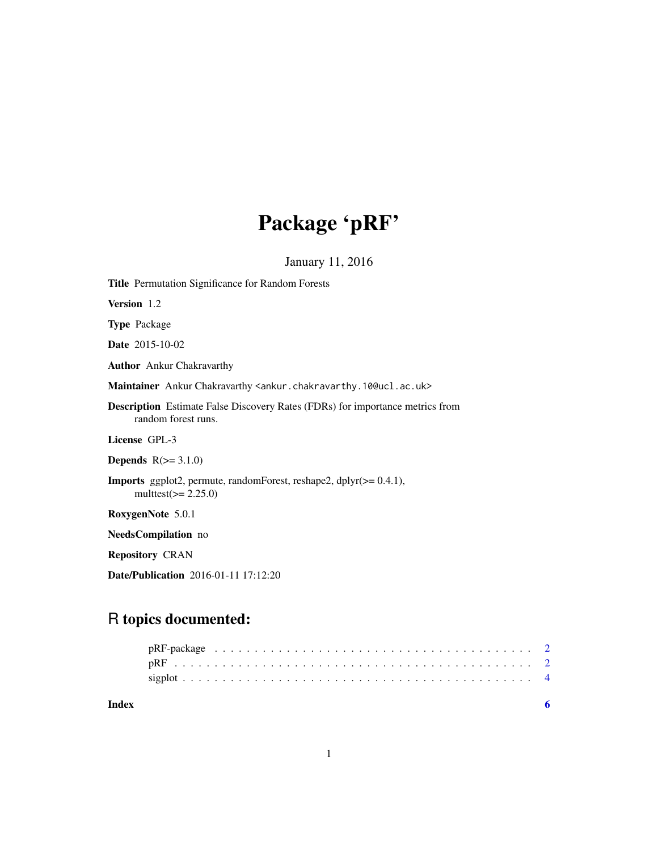# Package 'pRF'

January 11, 2016

| Title Permutation Significance for Random Forests                                                           |
|-------------------------------------------------------------------------------------------------------------|
| Version 1.2                                                                                                 |
| <b>Type</b> Package                                                                                         |
| <b>Date</b> 2015-10-02                                                                                      |
| <b>Author</b> Ankur Chakravarthy                                                                            |
| Maintainer Ankur Chakravarthy <ankur.chakravarthy.10@ucl.ac.uk></ankur.chakravarthy.10@ucl.ac.uk>           |
| <b>Description</b> Estimate False Discovery Rates (FDRs) for importance metrics from<br>random forest runs. |
| License GPL-3                                                                                               |
| <b>Depends</b> $R(>= 3.1.0)$                                                                                |
| <b>Imports</b> ggplot2, permute, randomForest, reshape2, $d$ plyr $(>= 0.4.1)$ ,<br>multtest( $>= 2.25.0$ ) |
| RoxygenNote 5.0.1                                                                                           |
| <b>NeedsCompilation</b> no                                                                                  |
| <b>Repository CRAN</b>                                                                                      |
| <b>Date/Publication</b> 2016-01-11 17:12:20                                                                 |

# R topics documented:

| Index |  |  |  |  |  |  |  |  |  |  |  |  |  |  |  |  |  |  |  |
|-------|--|--|--|--|--|--|--|--|--|--|--|--|--|--|--|--|--|--|--|
|       |  |  |  |  |  |  |  |  |  |  |  |  |  |  |  |  |  |  |  |
|       |  |  |  |  |  |  |  |  |  |  |  |  |  |  |  |  |  |  |  |
|       |  |  |  |  |  |  |  |  |  |  |  |  |  |  |  |  |  |  |  |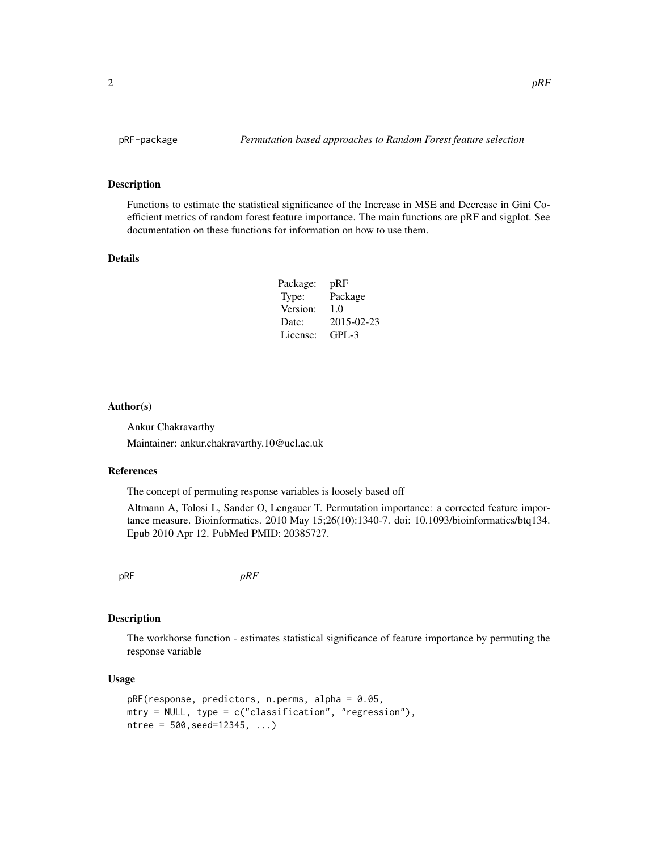#### Description

Functions to estimate the statistical significance of the Increase in MSE and Decrease in Gini Coefficient metrics of random forest feature importance. The main functions are pRF and sigplot. See documentation on these functions for information on how to use them.

#### Details

| pRF        |
|------------|
| Package    |
| 1.0        |
| 2015-02-23 |
| $GPI - 3$  |
|            |

#### Author(s)

Ankur Chakravarthy

Maintainer: ankur.chakravarthy.10@ucl.ac.uk

#### References

The concept of permuting response variables is loosely based off

Altmann A, Tolosi L, Sander O, Lengauer T. Permutation importance: a corrected feature importance measure. Bioinformatics. 2010 May 15;26(10):1340-7. doi: 10.1093/bioinformatics/btq134. Epub 2010 Apr 12. PubMed PMID: 20385727.

pRF *pRF*

#### Description

The workhorse function - estimates statistical significance of feature importance by permuting the response variable

#### Usage

```
pRF(response, predictors, n.perms, alpha = 0.05,
mtry = NULL, type = c("classification", "regression"),
ntree = 500, seed=12345, ...
```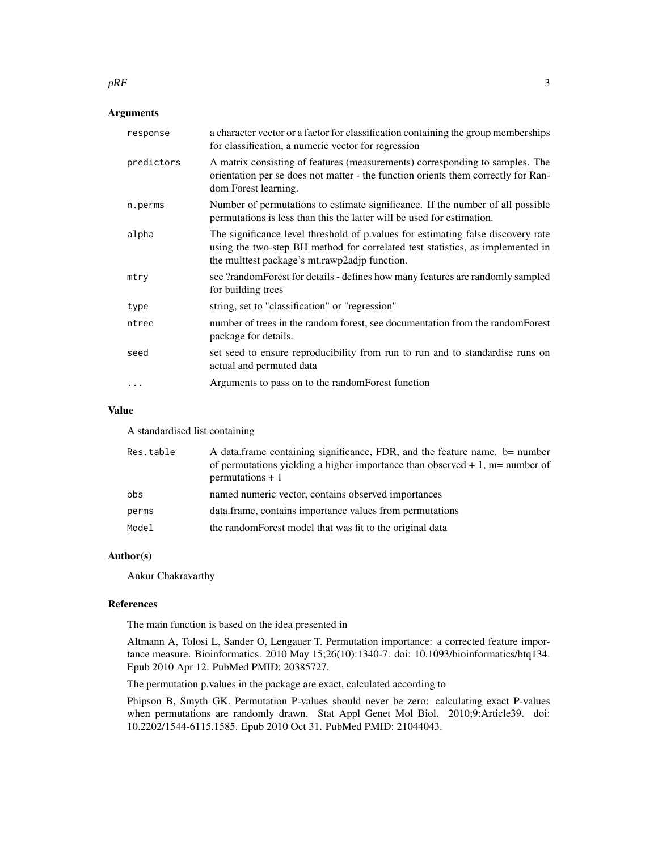#### $pRF$  3

# Arguments

| response   | a character vector or a factor for classification containing the group memberships<br>for classification, a numeric vector for regression                                                                           |
|------------|---------------------------------------------------------------------------------------------------------------------------------------------------------------------------------------------------------------------|
| predictors | A matrix consisting of features (measurements) corresponding to samples. The<br>orientation per se does not matter - the function orients them correctly for Ran-<br>dom Forest learning.                           |
| n.perms    | Number of permutations to estimate significance. If the number of all possible<br>permutations is less than this the latter will be used for estimation.                                                            |
| alpha      | The significance level threshold of p.values for estimating false discovery rate<br>using the two-step BH method for correlated test statistics, as implemented in<br>the multtest package's mt.rawp2adjp function. |
| mtry       | see ?randomForest for details - defines how many features are randomly sampled<br>for building trees                                                                                                                |
| type       | string, set to "classification" or "regression"                                                                                                                                                                     |
| ntree      | number of trees in the random forest, see documentation from the random Forest<br>package for details.                                                                                                              |
| seed       | set seed to ensure reproducibility from run to run and to standardise runs on<br>actual and permuted data                                                                                                           |
| $\cdots$   | Arguments to pass on to the randomForest function                                                                                                                                                                   |

#### Value

A standardised list containing

| Res.table | A data.frame containing significance, FDR, and the feature name. b= number<br>of permutations yielding a higher importance than observed $+1$ , m= number of<br>$permutations + 1$ |
|-----------|------------------------------------------------------------------------------------------------------------------------------------------------------------------------------------|
| obs       | named numeric vector, contains observed importances                                                                                                                                |
| perms     | data.frame, contains importance values from permutations                                                                                                                           |
| Model     | the random Forest model that was fit to the original data                                                                                                                          |

#### Author(s)

Ankur Chakravarthy

#### References

The main function is based on the idea presented in

Altmann A, Tolosi L, Sander O, Lengauer T. Permutation importance: a corrected feature importance measure. Bioinformatics. 2010 May 15;26(10):1340-7. doi: 10.1093/bioinformatics/btq134. Epub 2010 Apr 12. PubMed PMID: 20385727.

The permutation p.values in the package are exact, calculated according to

Phipson B, Smyth GK. Permutation P-values should never be zero: calculating exact P-values when permutations are randomly drawn. Stat Appl Genet Mol Biol. 2010;9:Article39. doi: 10.2202/1544-6115.1585. Epub 2010 Oct 31. PubMed PMID: 21044043.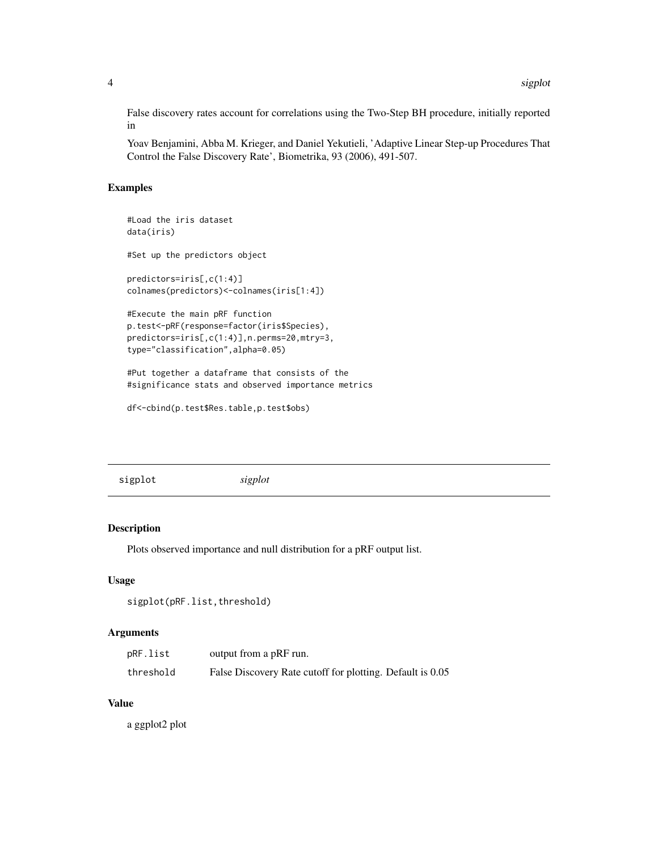<span id="page-3-0"></span>False discovery rates account for correlations using the Two-Step BH procedure, initially reported in

Yoav Benjamini, Abba M. Krieger, and Daniel Yekutieli, 'Adaptive Linear Step-up Procedures That Control the False Discovery Rate', Biometrika, 93 (2006), 491-507.

### Examples

```
#Load the iris dataset
data(iris)
#Set up the predictors object
predictors=iris[,c(1:4)]
colnames(predictors)<-colnames(iris[1:4])
#Execute the main pRF function
p.test<-pRF(response=factor(iris$Species),
predictors=iris[,c(1:4)],n.perms=20,mtry=3,
type="classification",alpha=0.05)
#Put together a dataframe that consists of the
```
#significance stats and observed importance metrics

df<-cbind(p.test\$Res.table,p.test\$obs)

sigplot *sigplot*

#### Description

Plots observed importance and null distribution for a pRF output list.

#### Usage

```
sigplot(pRF.list,threshold)
```
#### Arguments

| pRF.list  | output from a pRF run.                                    |
|-----------|-----------------------------------------------------------|
| threshold | False Discovery Rate cutoff for plotting. Default is 0.05 |

# Value

a ggplot2 plot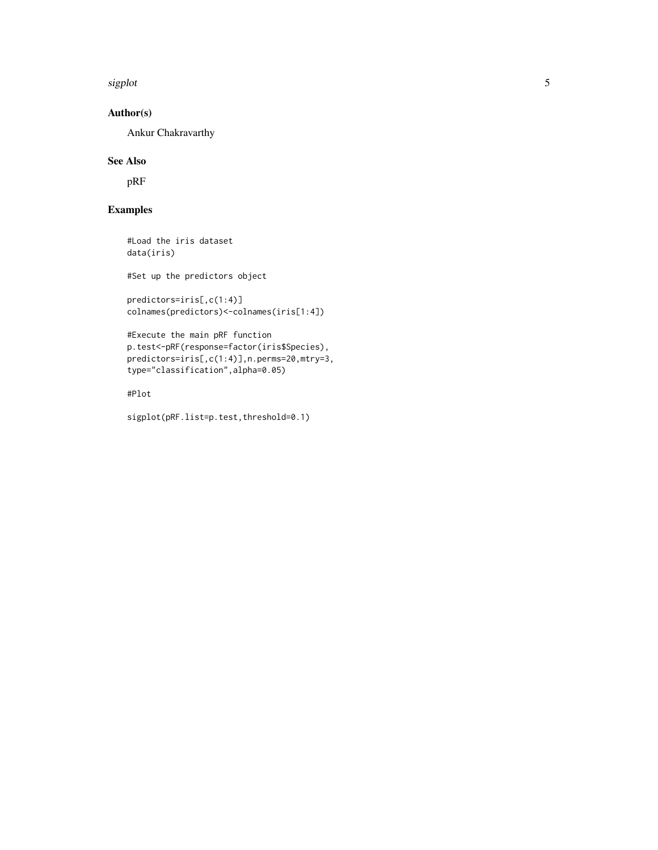#### sigplot 5 and 5 and 5 and 5 and 5 and 5 and 5 and 5 and 5 and 5 and 5 and 5 and 5 and 5 and 5 and 5 and 5 and 5

# Author(s)

Ankur Chakravarthy

### See Also

pRF

# Examples

#Load the iris dataset data(iris)

#Set up the predictors object

predictors=iris[,c(1:4)] colnames(predictors)<-colnames(iris[1:4])

```
#Execute the main pRF function
p.test<-pRF(response=factor(iris$Species),
predictors=iris[,c(1:4)],n.perms=20,mtry=3,
type="classification",alpha=0.05)
```
#Plot

sigplot(pRF.list=p.test,threshold=0.1)